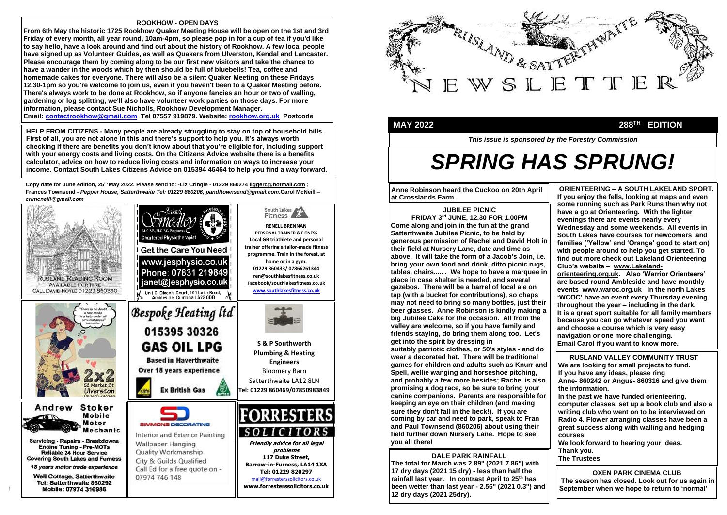!



### **MAY 2022** 288<sup>TH</sup>

*This issue is sponsored by the Forestry Commission* 



# *SPRING HAS SPRUNG!*

**ORIENTEERING – A SOUTH LAKELAND SPORT. If you enjoy the fells, looking at maps and even some running such as Park Runs then why not have a go at Orienteering. With the lighter evenings there are events nearly every Wednesday and some weekends. All events in South Lakes have courses for newcomers and families ('Yellow' and 'Orange' good to start on) with people around to help you get started. To find out more check out Lakeland Orienteering Club's website – www.Lakelandorienteering.org.uk. Also 'Warrior Orienteers' are based round Ambleside and have monthly events www.waroc.org.uk In the north Lakes 'WCOC' have an event every Thursday evening throughout the year – including in the dark. It is a great sport suitable for all family members because you can go whatever speed you want and choose a course which is very easy navigation or one more challenging. Email Carol if you want to know more. crlmcneill@gmail.com**

#### **JUBILEE PICNIC**

**FRIDAY 3 rd JUNE, 12.30 FOR 1.00PM Come along and join in the fun at the grand Satterthwaite Jubilee Picnic, to be held by generous permission of Rachel and David Holt in their field at Nursery Lane, date and time as above. It will take the form of a Jacob's Join, i.e. bring your own food and drink, ditto picnic rugs, tables, chairs..... . We hope to have a marquee in place in case shelter is needed, and several gazebos. There will be a barrel of local ale on tap (with a bucket for contributions), so chaps may not need to bring so many bottles, just their beer glasses. Anne Robinson is kindly making a big Jubilee Cake for the occasion. All from the valley are welcome, so if you have family and friends staying, do bring them along too. Let's get into the spirit by dressing in suitably patriotic clothes, or 50's styles - and do wear a decorated hat. There will be traditional games for children and adults such as Knurr and Spell, wellie wanging and horseshoe pitching, and probably a few more besides; Rachel is also promising a dog race, so be sure to bring your canine companions. Parents are responsible for keeping an eye on their children (and making sure they don't fall in the beck!). If you are coming by car and need to park, speak to Fran and Paul Townsend (860206) about using their field further down Nursery Lane. Hope to see you all there!**

### **ROOKHOW - OPEN DAYS**

**From 6th May the historic 1725 Rookhow Quaker Meeting House will be open on the 1st and 3rd Friday of every month, all year round, 10am-4pm, so please pop in for a cup of tea if you'd like to say hello, have a look around and find out about the history of Rookhow. A few local people have signed up as Volunteer Guides, as well as Quakers from Ulverston, Kendal and Lancaster. Please encourage them by coming along to be our first new visitors and take the chance to have a wander in the woods which by then should be full of bluebells! Tea, coffee and homemade cakes for everyone. There will also be a silent Quaker Meeting on these Fridays 12.30-1pm so you're welcome to join us, even if you haven't been to a Quaker Meeting before. There's always work to be done at Rookhow, so if anyone fancies an hour or two of walling, gardening or log splitting, we'll also have volunteer work parties on those days. For more information, please contact Sue Nicholls, Rookhow Development Manager. Email: contactrookhow@gmail.com Tel 07557 919879. Website: rookhow.org.uk Postcode**

## **DALE PARK RAINFALL**

**The total for March was 2.89" (2021 7.86") with 17 dry days (2021 15 dry) - less than half the rainfall last year. In contrast April to 25th has been wetter than last year - 2.56" (2021 0.3") and 12 dry days (2021 25dry).**

## **EDITION**

**OXEN PARK CINEMA CLUB The season has closed. Look out for us again in September when we hope to return to 'normal'**

 **RUSLAND VALLEY COMMUNITY TRUST We are looking for small projects to fund. If you have any ideas, please ring Anne- 860242 or Angus- 860316 and give them the information.**

**In the past we have funded orienteering, computer classes, set up a book club and also a writing club who went on to be interviewed on Radio 4. Flower arranging classes have been a great success along with walling and hedging courses.**

**We look forward to hearing your ideas. Thank you. The Trustees**

**Copy date for June edition, 25th May 2022. Please send to: -Liz Cringle - 01229 860274 liggerc@hotmail.com ; Frances Townsend -** *Pepper House, Satterthwaite Tel: 01229 860206, pandftownsend@gmail.com.***Carol McNeill** *– crlmcneill@gmail.com*

**HELP FROM CITIZENS - Many people are already struggling to stay on top of household bills. First of all, you are not alone in this and there's support to help you. It's always worth checking if there are benefits you don't know about that you're eligible for, including support with your energy costs and living costs. On the Citizens Advice website there is a benefits calculator, advice on how to reduce living costs and information on ways to increase your income. Contact South Lakes Citizens Advice on 015394 46464 to help you find a way forward.**

> **Anne Robinson heard the Cuckoo on 20th April at Crosslands Farm.**